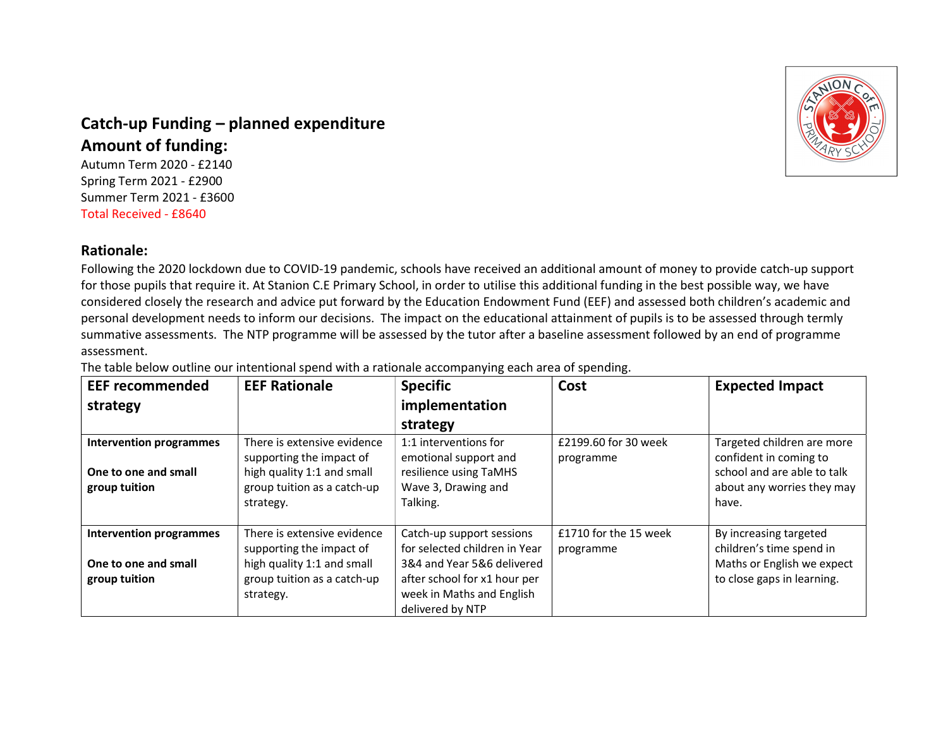

## Catch-up Funding – planned expenditure Amount of funding:

Autumn Term 2020 - £2140 Spring Term 2021 - £2900 Summer Term 2021 - £3600 Total Received - £8640

## Rationale:

Following the 2020 lockdown due to COVID-19 pandemic, schools have received an additional amount of money to provide catch-up support for those pupils that require it. At Stanion C.E Primary School, in order to utilise this additional funding in the best possible way, we have considered closely the research and advice put forward by the Education Endowment Fund (EEF) and assessed both children's academic and personal development needs to inform our decisions. The impact on the educational attainment of pupils is to be assessed through termly summative assessments. The NTP programme will be assessed by the tutor after a baseline assessment followed by an end of programme assessment.

The table below outline our intentional spend with a rationale accompanying each area of spending.

| <b>EEF recommended</b><br>strategy                                      | <b>EEF Rationale</b>                                                                                                              | <b>Specific</b><br>implementation<br>strategy                                                                                                                             | Cost                               | <b>Expected Impact</b>                                                                                                     |
|-------------------------------------------------------------------------|-----------------------------------------------------------------------------------------------------------------------------------|---------------------------------------------------------------------------------------------------------------------------------------------------------------------------|------------------------------------|----------------------------------------------------------------------------------------------------------------------------|
| <b>Intervention programmes</b><br>One to one and small<br>group tuition | There is extensive evidence<br>supporting the impact of<br>high quality 1:1 and small<br>group tuition as a catch-up<br>strategy. | 1:1 interventions for<br>emotional support and<br>resilience using TaMHS<br>Wave 3, Drawing and<br>Talking.                                                               | £2199.60 for 30 week<br>programme  | Targeted children are more<br>confident in coming to<br>school and are able to talk<br>about any worries they may<br>have. |
| <b>Intervention programmes</b><br>One to one and small<br>group tuition | There is extensive evidence<br>supporting the impact of<br>high quality 1:1 and small<br>group tuition as a catch-up<br>strategy. | Catch-up support sessions<br>for selected children in Year<br>3&4 and Year 5&6 delivered<br>after school for x1 hour per<br>week in Maths and English<br>delivered by NTP | £1710 for the 15 week<br>programme | By increasing targeted<br>children's time spend in<br>Maths or English we expect<br>to close gaps in learning.             |